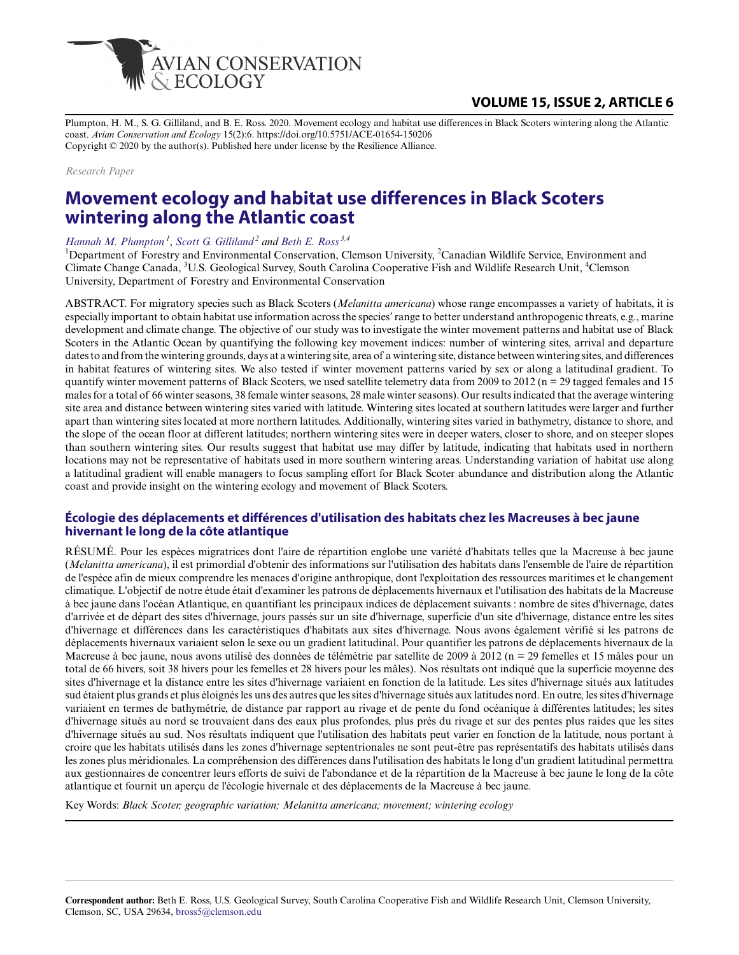

# **VOLUME 15, ISSUE 2, ARTICLE 6**

Plumpton, H. M., S. G. Gilliland, and B. E. Ross. 2020. Movement ecology and habitat use differences in Black Scoters wintering along the Atlantic coast. *Avian Conservation and Ecology* 15(2):6. https://doi.org/10.5751/ACE-01654-150206 Copyright © 2020 by the author(s). Published here under license by the Resilience Alliance.

#### *Research Paper*

# **Movement ecology and habitat use differences in Black Scoters wintering along the Atlantic coast**

## *[Hannah M. Plumpton](mailto:hplumpt@clemson.edu)<sup>1</sup>* , *[Scott G. Gilliland](mailto:sgg64@mac.com)<sup>2</sup> and [Beth E. Ross](mailto:bross5@clemson.edu) 3,4*

<sup>1</sup>Department of Forestry and Environmental Conservation, Clemson University, <sup>2</sup>Canadian Wildlife Service, Environment and Climate Change Canada, <sup>3</sup>U.S. Geological Survey, South Carolina Cooperative Fish and Wildlife Research Unit, <sup>4</sup>Clemson University, Department of Forestry and Environmental Conservation

ABSTRACT. For migratory species such as Black Scoters (*Melanitta americana*) whose range encompasses a variety of habitats, it is especially important to obtain habitat use information across the species' range to better understand anthropogenic threats, e.g., marine development and climate change. The objective of our study was to investigate the winter movement patterns and habitat use of Black Scoters in the Atlantic Ocean by quantifying the following key movement indices: number of wintering sites, arrival and departure dates to and from the wintering grounds, days at a wintering site, area of a wintering site, distance between wintering sites, and differences in habitat features of wintering sites. We also tested if winter movement patterns varied by sex or along a latitudinal gradient. To quantify winter movement patterns of Black Scoters, we used satellite telemetry data from 2009 to  $2012$  (n = 29 tagged females and 15 males for a total of 66 winter seasons, 38 female winter seasons, 28 male winter seasons). Our results indicated that the average wintering site area and distance between wintering sites varied with latitude. Wintering sites located at southern latitudes were larger and further apart than wintering sites located at more northern latitudes. Additionally, wintering sites varied in bathymetry, distance to shore, and the slope of the ocean floor at different latitudes; northern wintering sites were in deeper waters, closer to shore, and on steeper slopes than southern wintering sites. Our results suggest that habitat use may differ by latitude, indicating that habitats used in northern locations may not be representative of habitats used in more southern wintering areas. Understanding variation of habitat use along a latitudinal gradient will enable managers to focus sampling effort for Black Scoter abundance and distribution along the Atlantic coast and provide insight on the wintering ecology and movement of Black Scoters.

## **Écologie des déplacements et différences d'utilisation des habitats chez les Macreuses à bec jaune hivernant le long de la côte atlantique**

RÉSUMÉ. Pour les espèces migratrices dont l'aire de répartition englobe une variété d'habitats telles que la Macreuse à bec jaune (*Melanitta americana*), il est primordial d'obtenir des informations sur l'utilisation des habitats dans l'ensemble de l'aire de répartition de l'espèce afin de mieux comprendre les menaces d'origine anthropique, dont l'exploitation des ressources maritimes et le changement climatique. L'objectif de notre étude était d'examiner les patrons de déplacements hivernaux et l'utilisation des habitats de la Macreuse à bec jaune dans l'océan Atlantique, en quantifiant les principaux indices de déplacement suivants : nombre de sites d'hivernage, dates d'arrivée et de départ des sites d'hivernage, jours passés sur un site d'hivernage, superficie d'un site d'hivernage, distance entre les sites d'hivernage et différences dans les caractéristiques d'habitats aux sites d'hivernage. Nous avons également vérifié si les patrons de déplacements hivernaux variaient selon le sexe ou un gradient latitudinal. Pour quantifier les patrons de déplacements hivernaux de la Macreuse à bec jaune, nous avons utilisé des données de télémétrie par satellite de 2009 à 2012 (n = 29 femelles et 15 mâles pour un total de 66 hivers, soit 38 hivers pour les femelles et 28 hivers pour les mâles). Nos résultats ont indiqué que la superficie moyenne des sites d'hivernage et la distance entre les sites d'hivernage variaient en fonction de la latitude. Les sites d'hivernage situés aux latitudes sud étaient plus grands et plus éloignés les uns des autres que les sites d'hivernage situés aux latitudes nord. En outre, les sites d'hivernage variaient en termes de bathymétrie, de distance par rapport au rivage et de pente du fond océanique à différentes latitudes; les sites d'hivernage situés au nord se trouvaient dans des eaux plus profondes, plus près du rivage et sur des pentes plus raides que les sites d'hivernage situés au sud. Nos résultats indiquent que l'utilisation des habitats peut varier en fonction de la latitude, nous portant à croire que les habitats utilisés dans les zones d'hivernage septentrionales ne sont peut-être pas représentatifs des habitats utilisés dans les zones plus méridionales. La compréhension des différences dans l'utilisation des habitats le long d'un gradient latitudinal permettra aux gestionnaires de concentrer leurs efforts de suivi de l'abondance et de la répartition de la Macreuse à bec jaune le long de la côte atlantique et fournit un aperçu de l'écologie hivernale et des déplacements de la Macreuse à bec jaune.

Key Words: *Black Scoter; geographic variation; Melanitta americana; movement; wintering ecology*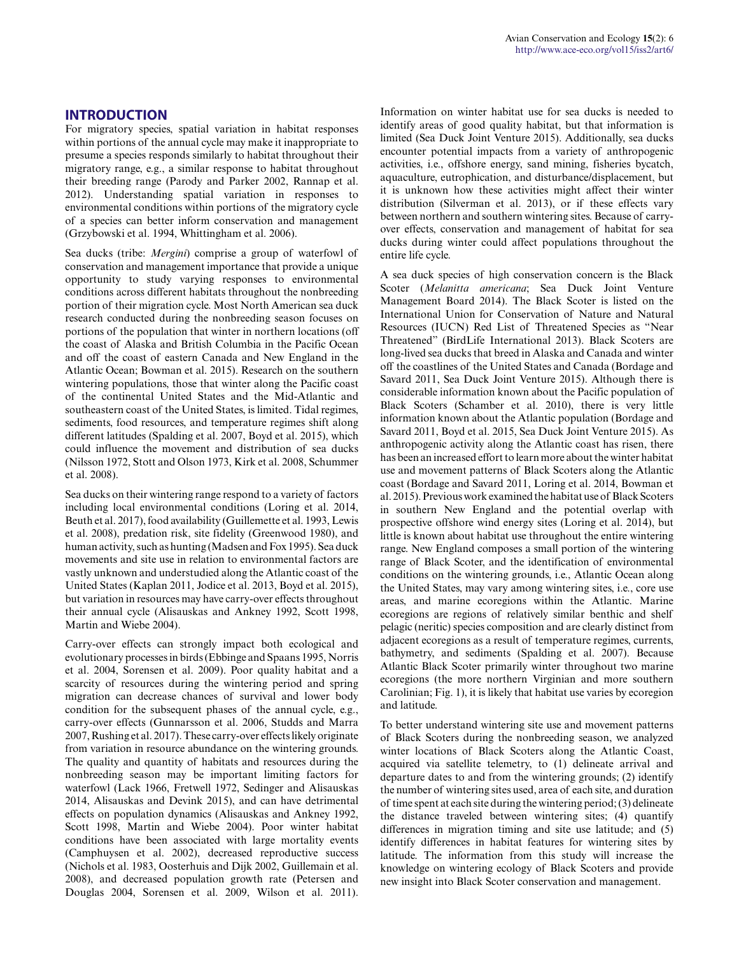# **INTRODUCTION**

For migratory species, spatial variation in habitat responses within portions of the annual cycle may make it inappropriate to presume a species responds similarly to habitat throughout their migratory range, e.g., a similar response to habitat throughout their breeding range (Parody and Parker 2002, Rannap et al. 2012). Understanding spatial variation in responses to environmental conditions within portions of the migratory cycle of a species can better inform conservation and management (Grzybowski et al. 1994, Whittingham et al. 2006).

Sea ducks (tribe: *Mergini*) comprise a group of waterfowl of conservation and management importance that provide a unique opportunity to study varying responses to environmental conditions across different habitats throughout the nonbreeding portion of their migration cycle. Most North American sea duck research conducted during the nonbreeding season focuses on portions of the population that winter in northern locations (off the coast of Alaska and British Columbia in the Pacific Ocean and off the coast of eastern Canada and New England in the Atlantic Ocean; Bowman et al. 2015). Research on the southern wintering populations, those that winter along the Pacific coast of the continental United States and the Mid-Atlantic and southeastern coast of the United States, is limited. Tidal regimes, sediments, food resources, and temperature regimes shift along different latitudes (Spalding et al. 2007, Boyd et al. 2015), which could influence the movement and distribution of sea ducks (Nilsson 1972, Stott and Olson 1973, Kirk et al. 2008, Schummer et al. 2008).

Sea ducks on their wintering range respond to a variety of factors including local environmental conditions (Loring et al. 2014, Beuth et al. 2017), food availability (Guillemette et al. 1993, Lewis et al. 2008), predation risk, site fidelity (Greenwood 1980), and human activity, such as hunting (Madsen and Fox 1995). Sea duck movements and site use in relation to environmental factors are vastly unknown and understudied along the Atlantic coast of the United States (Kaplan 2011, Jodice et al. 2013, Boyd et al. 2015), but variation in resources may have carry-over effects throughout their annual cycle (Alisauskas and Ankney 1992, Scott 1998, Martin and Wiebe 2004).

Carry-over effects can strongly impact both ecological and evolutionary processes in birds (Ebbinge and Spaans 1995, Norris et al. 2004, Sorensen et al. 2009). Poor quality habitat and a scarcity of resources during the wintering period and spring migration can decrease chances of survival and lower body condition for the subsequent phases of the annual cycle, e.g., carry-over effects (Gunnarsson et al. 2006, Studds and Marra 2007, Rushing et al. 2017). These carry-over effects likely originate from variation in resource abundance on the wintering grounds. The quality and quantity of habitats and resources during the nonbreeding season may be important limiting factors for waterfowl (Lack 1966, Fretwell 1972, Sedinger and Alisauskas 2014, Alisauskas and Devink 2015), and can have detrimental effects on population dynamics (Alisauskas and Ankney 1992, Scott 1998, Martin and Wiebe 2004). Poor winter habitat conditions have been associated with large mortality events (Camphuysen et al. 2002), decreased reproductive success (Nichols et al. 1983, Oosterhuis and Dijk 2002, Guillemain et al. 2008), and decreased population growth rate (Petersen and Douglas 2004, Sorensen et al. 2009, Wilson et al. 2011).

Information on winter habitat use for sea ducks is needed to identify areas of good quality habitat, but that information is limited (Sea Duck Joint Venture 2015). Additionally, sea ducks encounter potential impacts from a variety of anthropogenic activities, i.e., offshore energy, sand mining, fisheries bycatch, aquaculture, eutrophication, and disturbance/displacement, but it is unknown how these activities might affect their winter distribution (Silverman et al. 2013), or if these effects vary between northern and southern wintering sites. Because of carryover effects, conservation and management of habitat for sea ducks during winter could affect populations throughout the entire life cycle.

A sea duck species of high conservation concern is the Black Scoter (*Melanitta americana*; Sea Duck Joint Venture Management Board 2014). The Black Scoter is listed on the International Union for Conservation of Nature and Natural Resources (IUCN) Red List of Threatened Species as "Near Threatened" (BirdLife International 2013). Black Scoters are long-lived sea ducks that breed in Alaska and Canada and winter off the coastlines of the United States and Canada (Bordage and Savard 2011, Sea Duck Joint Venture 2015). Although there is considerable information known about the Pacific population of Black Scoters (Schamber et al. 2010), there is very little information known about the Atlantic population (Bordage and Savard 2011, Boyd et al. 2015, Sea Duck Joint Venture 2015). As anthropogenic activity along the Atlantic coast has risen, there has been an increased effort to learn more about the winter habitat use and movement patterns of Black Scoters along the Atlantic coast (Bordage and Savard 2011, Loring et al. 2014, Bowman et al. 2015). Previous work examined the habitat use of Black Scoters in southern New England and the potential overlap with prospective offshore wind energy sites (Loring et al. 2014), but little is known about habitat use throughout the entire wintering range. New England composes a small portion of the wintering range of Black Scoter, and the identification of environmental conditions on the wintering grounds, i.e., Atlantic Ocean along the United States, may vary among wintering sites, i.e., core use areas, and marine ecoregions within the Atlantic. Marine ecoregions are regions of relatively similar benthic and shelf pelagic (neritic) species composition and are clearly distinct from adjacent ecoregions as a result of temperature regimes, currents, bathymetry, and sediments (Spalding et al. 2007). Because Atlantic Black Scoter primarily winter throughout two marine ecoregions (the more northern Virginian and more southern Carolinian; Fig. 1), it is likely that habitat use varies by ecoregion and latitude.

To better understand wintering site use and movement patterns of Black Scoters during the nonbreeding season, we analyzed winter locations of Black Scoters along the Atlantic Coast, acquired via satellite telemetry, to (1) delineate arrival and departure dates to and from the wintering grounds; (2) identify the number of wintering sites used, area of each site, and duration of time spent at each site during the wintering period; (3) delineate the distance traveled between wintering sites; (4) quantify differences in migration timing and site use latitude; and (5) identify differences in habitat features for wintering sites by latitude. The information from this study will increase the knowledge on wintering ecology of Black Scoters and provide new insight into Black Scoter conservation and management.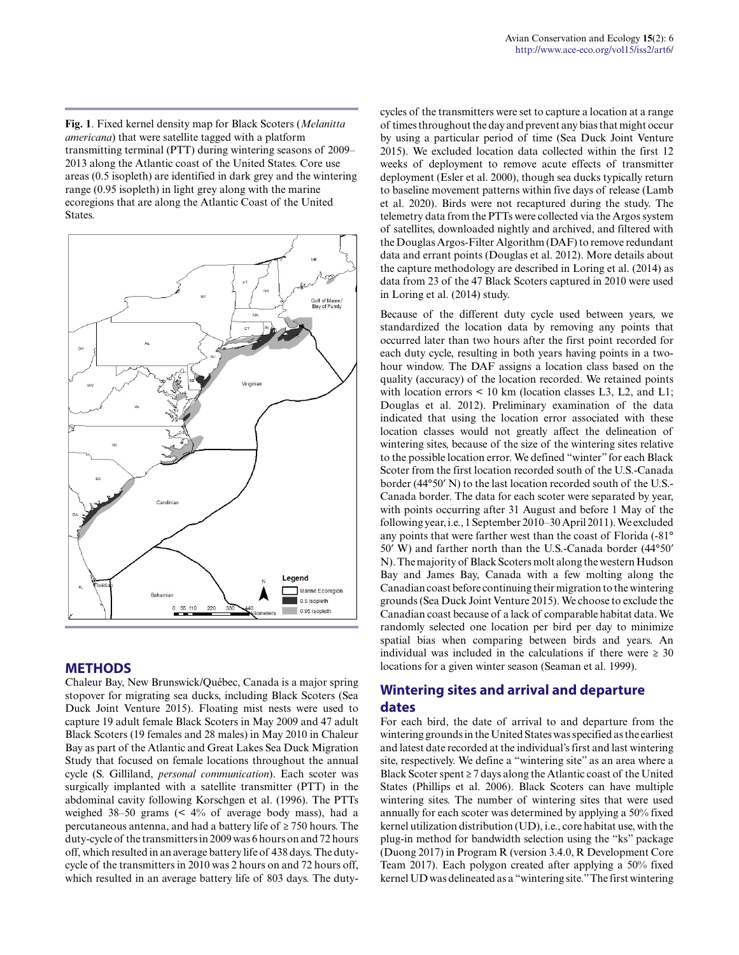**Fig. 1**. Fixed kernel density map for Black Scoters (*Melanitta americana*) that were satellite tagged with a platform transmitting terminal (PTT) during wintering seasons of 2009– 2013 along the Atlantic coast of the United States. Core use areas (0.5 isopleth) are identified in dark grey and the wintering range (0.95 isopleth) in light grey along with the marine ecoregions that are along the Atlantic Coast of the United **States**.



## **METHODS**

Chaleur Bay, New Brunswick/Québec, Canada is a major spring stopover for migrating sea ducks, including Black Scoters (Sea Duck Joint Venture 2015). Floating mist nests were used to capture 19 adult female Black Scoters in May 2009 and 47 adult Black Scoters (19 females and 28 males) in May 2010 in Chaleur Bay as part of the Atlantic and Great Lakes Sea Duck Migration Study that focused on female locations throughout the annual cycle (S. Gilliland, *personal communication*). Each scoter was surgically implanted with a satellite transmitter (PTT) in the abdominal cavity following Korschgen et al. (1996). The PTTs weighed 38–50 grams (< 4% of average body mass), had a percutaneous antenna, and had a battery life of ≥ 750 hours. The duty-cycle of the transmitters in 2009 was 6 hours on and 72 hours off, which resulted in an average battery life of 438 days. The dutycycle of the transmitters in 2010 was 2 hours on and 72 hours off, which resulted in an average battery life of 803 days. The dutycycles of the transmitters were set to capture a location at a range of times throughout the day and prevent any bias that might occur by using a particular period of time (Sea Duck Joint Venture 2015). We excluded location data collected within the first 12 weeks of deployment to remove acute effects of transmitter deployment (Esler et al. 2000), though sea ducks typically return to baseline movement patterns within five days of release (Lamb et al. 2020). Birds were not recaptured during the study. The telemetry data from the PTTs were collected via the Argos system of satellites, downloaded nightly and archived, and filtered with the Douglas Argos-Filter Algorithm (DAF) to remove redundant data and errant points (Douglas et al. 2012). More details about the capture methodology are described in Loring et al. (2014) as data from 23 of the 47 Black Scoters captured in 2010 were used in Loring et al. (2014) study.

Because of the different duty cycle used between years, we standardized the location data by removing any points that occurred later than two hours after the first point recorded for each duty cycle, resulting in both years having points in a twohour window. The DAF assigns a location class based on the quality (accuracy) of the location recorded. We retained points with location errors  $\leq 10$  km (location classes L3, L2, and L1; Douglas et al. 2012). Preliminary examination of the data indicated that using the location error associated with these location classes would not greatly affect the delineation of wintering sites, because of the size of the wintering sites relative to the possible location error. We defined "winter" for each Black Scoter from the first location recorded south of the U.S.-Canada border (44°50′ N) to the last location recorded south of the U.S.- Canada border. The data for each scoter were separated by year, with points occurring after 31 August and before 1 May of the following year, i.e., 1 September 2010–30 April 2011). We excluded any points that were farther west than the coast of Florida (-81° 50′ W) and farther north than the U.S.-Canada border (44°50′ N). The majority of Black Scoters molt along the western Hudson Bay and James Bay, Canada with a few molting along the Canadian coast before continuing their migration to the wintering grounds (Sea Duck Joint Venture 2015). We choose to exclude the Canadian coast because of a lack of comparable habitat data. We randomly selected one location per bird per day to minimize spatial bias when comparing between birds and years. An individual was included in the calculations if there were  $\geq 30$ locations for a given winter season (Seaman et al. 1999).

# **Wintering sites and arrival and departure dates**

For each bird, the date of arrival to and departure from the wintering grounds in the United States was specified as the earliest and latest date recorded at the individual's first and last wintering site, respectively. We define a "wintering site" as an area where a Black Scoter spent ≥ 7 days along the Atlantic coast of the United States (Phillips et al. 2006). Black Scoters can have multiple wintering sites. The number of wintering sites that were used annually for each scoter was determined by applying a 50% fixed kernel utilization distribution (UD), i.e., core habitat use, with the plug-in method for bandwidth selection using the "ks" package (Duong 2017) in Program R (version 3.4.0, R Development Core Team 2017). Each polygon created after applying a 50% fixed kernel UD was delineated as a "wintering site." The first wintering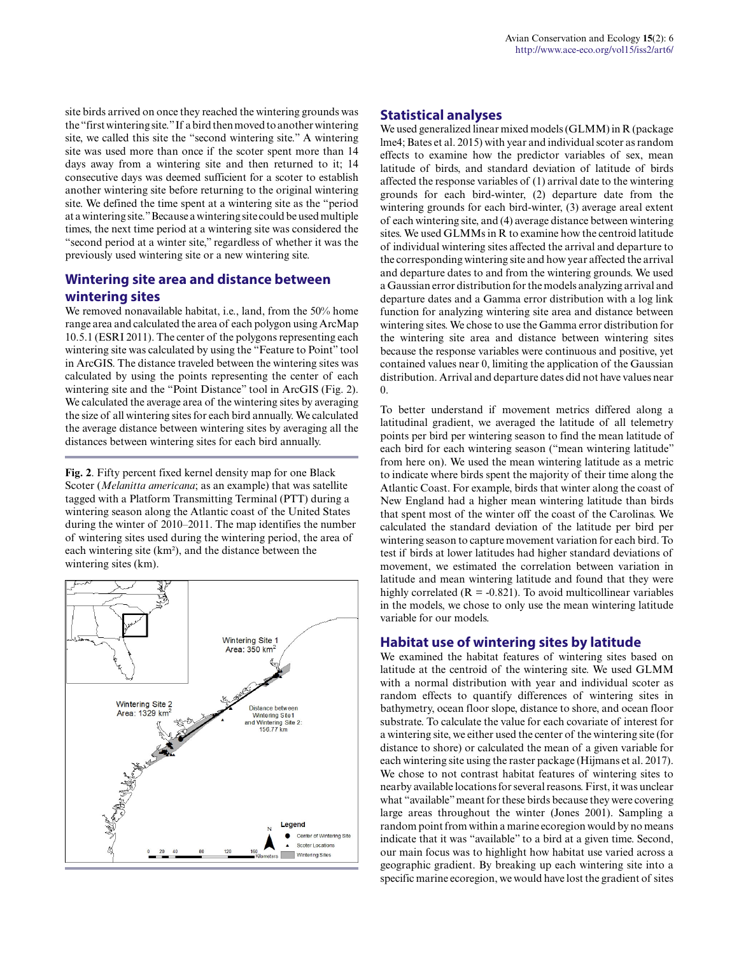site birds arrived on once they reached the wintering grounds was the "first wintering site." If a bird then moved to another wintering site, we called this site the "second wintering site." A wintering site was used more than once if the scoter spent more than 14 days away from a wintering site and then returned to it; 14 consecutive days was deemed sufficient for a scoter to establish another wintering site before returning to the original wintering site. We defined the time spent at a wintering site as the "period at a wintering site." Because a wintering site could be used multiple times, the next time period at a wintering site was considered the "second period at a winter site," regardless of whether it was the previously used wintering site or a new wintering site.

# **Wintering site area and distance between wintering sites**

We removed nonavailable habitat, i.e., land, from the 50% home range area and calculated the area of each polygon using ArcMap 10.5.1 (ESRI 2011). The center of the polygons representing each wintering site was calculated by using the "Feature to Point" tool in ArcGIS. The distance traveled between the wintering sites was calculated by using the points representing the center of each wintering site and the "Point Distance" tool in ArcGIS (Fig. 2). We calculated the average area of the wintering sites by averaging the size of all wintering sites for each bird annually. We calculated the average distance between wintering sites by averaging all the distances between wintering sites for each bird annually.

**Fig. 2**. Fifty percent fixed kernel density map for one Black Scoter (*Melanitta americana*; as an example) that was satellite tagged with a Platform Transmitting Terminal (PTT) during a wintering season along the Atlantic coast of the United States during the winter of 2010–2011. The map identifies the number of wintering sites used during the wintering period, the area of each wintering site (km²), and the distance between the wintering sites (km).



### **Statistical analyses**

We used generalized linear mixed models (GLMM) in R (package lme4; Bates et al. 2015) with year and individual scoter as random effects to examine how the predictor variables of sex, mean latitude of birds, and standard deviation of latitude of birds affected the response variables of (1) arrival date to the wintering grounds for each bird-winter, (2) departure date from the wintering grounds for each bird-winter, (3) average areal extent of each wintering site, and (4) average distance between wintering sites. We used GLMMs in R to examine how the centroid latitude of individual wintering sites affected the arrival and departure to the corresponding wintering site and how year affected the arrival and departure dates to and from the wintering grounds. We used a Gaussian error distribution for the models analyzing arrival and departure dates and a Gamma error distribution with a log link function for analyzing wintering site area and distance between wintering sites. We chose to use the Gamma error distribution for the wintering site area and distance between wintering sites because the response variables were continuous and positive, yet contained values near 0, limiting the application of the Gaussian distribution. Arrival and departure dates did not have values near 0.

To better understand if movement metrics differed along a latitudinal gradient, we averaged the latitude of all telemetry points per bird per wintering season to find the mean latitude of each bird for each wintering season ("mean wintering latitude" from here on). We used the mean wintering latitude as a metric to indicate where birds spent the majority of their time along the Atlantic Coast. For example, birds that winter along the coast of New England had a higher mean wintering latitude than birds that spent most of the winter off the coast of the Carolinas. We calculated the standard deviation of the latitude per bird per wintering season to capture movement variation for each bird. To test if birds at lower latitudes had higher standard deviations of movement, we estimated the correlation between variation in latitude and mean wintering latitude and found that they were highly correlated  $(R = -0.821)$ . To avoid multicollinear variables in the models, we chose to only use the mean wintering latitude variable for our models.

## **Habitat use of wintering sites by latitude**

We examined the habitat features of wintering sites based on latitude at the centroid of the wintering site. We used GLMM with a normal distribution with year and individual scoter as random effects to quantify differences of wintering sites in bathymetry, ocean floor slope, distance to shore, and ocean floor substrate. To calculate the value for each covariate of interest for a wintering site, we either used the center of the wintering site (for distance to shore) or calculated the mean of a given variable for each wintering site using the raster package (Hijmans et al. 2017). We chose to not contrast habitat features of wintering sites to nearby available locations for several reasons. First, it was unclear what "available" meant for these birds because they were covering large areas throughout the winter (Jones 2001). Sampling a random point from within a marine ecoregion would by no means indicate that it was "available" to a bird at a given time. Second, our main focus was to highlight how habitat use varied across a geographic gradient. By breaking up each wintering site into a specific marine ecoregion, we would have lost the gradient of sites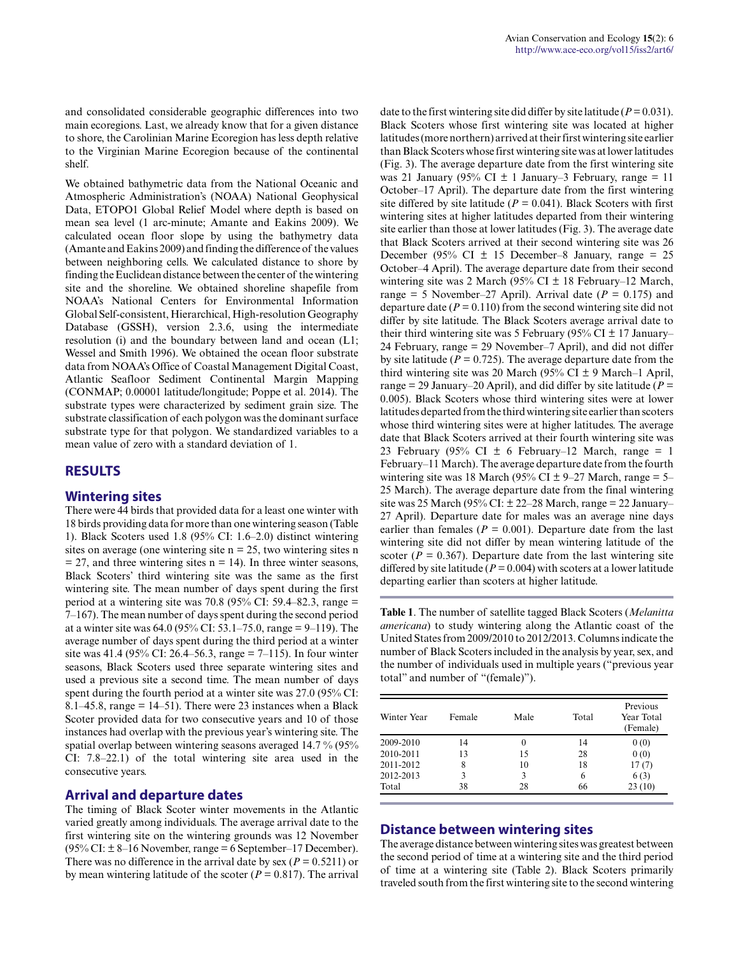and consolidated considerable geographic differences into two main ecoregions. Last, we already know that for a given distance to shore, the Carolinian Marine Ecoregion has less depth relative to the Virginian Marine Ecoregion because of the continental shelf.

We obtained bathymetric data from the National Oceanic and Atmospheric Administration's (NOAA) National Geophysical Data, ETOPO1 Global Relief Model where depth is based on mean sea level (1 arc-minute; Amante and Eakins 2009). We calculated ocean floor slope by using the bathymetry data (Amante and Eakins 2009) and finding the difference of the values between neighboring cells. We calculated distance to shore by finding the Euclidean distance between the center of the wintering site and the shoreline. We obtained shoreline shapefile from NOAA's National Centers for Environmental Information Global Self-consistent, Hierarchical, High-resolution Geography Database (GSSH), version 2.3.6, using the intermediate resolution (i) and the boundary between land and ocean (L1; Wessel and Smith 1996). We obtained the ocean floor substrate data from NOAA's Office of Coastal Management Digital Coast, Atlantic Seafloor Sediment Continental Margin Mapping (CONMAP; 0.00001 latitude/longitude; Poppe et al. 2014). The substrate types were characterized by sediment grain size. The substrate classification of each polygon was the dominant surface substrate type for that polygon. We standardized variables to a mean value of zero with a standard deviation of 1.

# **RESULTS**

#### **Wintering sites**

There were 44 birds that provided data for a least one winter with 18 birds providing data for more than one wintering season (Table 1). Black Scoters used 1.8 (95% CI: 1.6–2.0) distinct wintering sites on average (one wintering site  $n = 25$ , two wintering sites n  $= 27$ , and three wintering sites n  $= 14$ ). In three winter seasons, Black Scoters' third wintering site was the same as the first wintering site. The mean number of days spent during the first period at a wintering site was 70.8 (95% CI: 59.4–82.3, range  $=$ 7–167). The mean number of days spent during the second period at a winter site was  $64.0$  (95% CI: 53.1–75.0, range = 9–119). The average number of days spent during the third period at a winter site was 41.4 (95% CI: 26.4–56.3, range = 7–115). In four winter seasons, Black Scoters used three separate wintering sites and used a previous site a second time. The mean number of days spent during the fourth period at a winter site was 27.0 (95% CI: 8.1–45.8, range  $= 14$ –51). There were 23 instances when a Black Scoter provided data for two consecutive years and 10 of those instances had overlap with the previous year's wintering site. The spatial overlap between wintering seasons averaged 14.7 % (95% CI: 7.8–22.1) of the total wintering site area used in the consecutive years.

#### **Arrival and departure dates**

The timing of Black Scoter winter movements in the Atlantic varied greatly among individuals. The average arrival date to the first wintering site on the wintering grounds was 12 November (95% CI:  $\pm$  8–16 November, range = 6 September–17 December). There was no difference in the arrival date by sex ( $P = 0.5211$ ) or by mean wintering latitude of the scoter  $(P = 0.817)$ . The arrival date to the first wintering site did differ by site latitude ( $P = 0.031$ ). Black Scoters whose first wintering site was located at higher latitudes (more northern) arrived at their first wintering site earlier than Black Scoters whose first wintering site was at lower latitudes (Fig. 3). The average departure date from the first wintering site was 21 January (95% CI  $\pm$  1 January–3 February, range = 11 October–17 April). The departure date from the first wintering site differed by site latitude ( $P = 0.041$ ). Black Scoters with first wintering sites at higher latitudes departed from their wintering site earlier than those at lower latitudes (Fig. 3). The average date that Black Scoters arrived at their second wintering site was 26 December (95% CI  $\pm$  15 December–8 January, range = 25 October–4 April). The average departure date from their second wintering site was 2 March (95% CI  $\pm$  18 February–12 March, range = 5 November–27 April). Arrival date ( $P = 0.175$ ) and departure date  $(P = 0.110)$  from the second wintering site did not differ by site latitude. The Black Scoters average arrival date to their third wintering site was 5 February (95% CI  $\pm$  17 January– 24 February, range = 29 November–7 April), and did not differ by site latitude ( $P = 0.725$ ). The average departure date from the third wintering site was 20 March (95% CI  $\pm$  9 March–1 April, range  $= 29$  January–20 April), and did differ by site latitude ( $P =$ 0.005). Black Scoters whose third wintering sites were at lower latitudes departed from the third wintering site earlier than scoters whose third wintering sites were at higher latitudes. The average date that Black Scoters arrived at their fourth wintering site was 23 February (95% CI  $\pm$  6 February–12 March, range = 1 February–11 March). The average departure date from the fourth wintering site was 18 March (95% CI  $\pm$  9–27 March, range = 5– 25 March). The average departure date from the final wintering site was 25 March (95% CI:  $\pm$  22–28 March, range = 22 January– 27 April). Departure date for males was an average nine days earlier than females ( $P = 0.001$ ). Departure date from the last wintering site did not differ by mean wintering latitude of the scoter ( $P = 0.367$ ). Departure date from the last wintering site differed by site latitude ( $P = 0.004$ ) with scoters at a lower latitude departing earlier than scoters at higher latitude.

**Table 1**. The number of satellite tagged Black Scoters (*Melanitta americana*) to study wintering along the Atlantic coast of the United States from 2009/2010 to 2012/2013. Columns indicate the number of Black Scoters included in the analysis by year, sex, and the number of individuals used in multiple years ("previous year total" and number of "(female)").

| Winter Year | Female | Male     | Total | Previous<br>Year Total<br>(Female) |
|-------------|--------|----------|-------|------------------------------------|
| 2009-2010   | 14     | $\theta$ | 14    | 0(0)                               |
| 2010-2011   | 13     | 15       | 28    | 0(0)                               |
| 2011-2012   | 8      | 10       | 18    | 17(7)                              |
| 2012-2013   | 3      | 3        | 6     | 6(3)                               |
| Total       | 38     | 28       | 66    | 23(10)                             |

## **Distance between wintering sites**

The average distance between wintering sites was greatest between the second period of time at a wintering site and the third period of time at a wintering site (Table 2). Black Scoters primarily traveled south from the first wintering site to the second wintering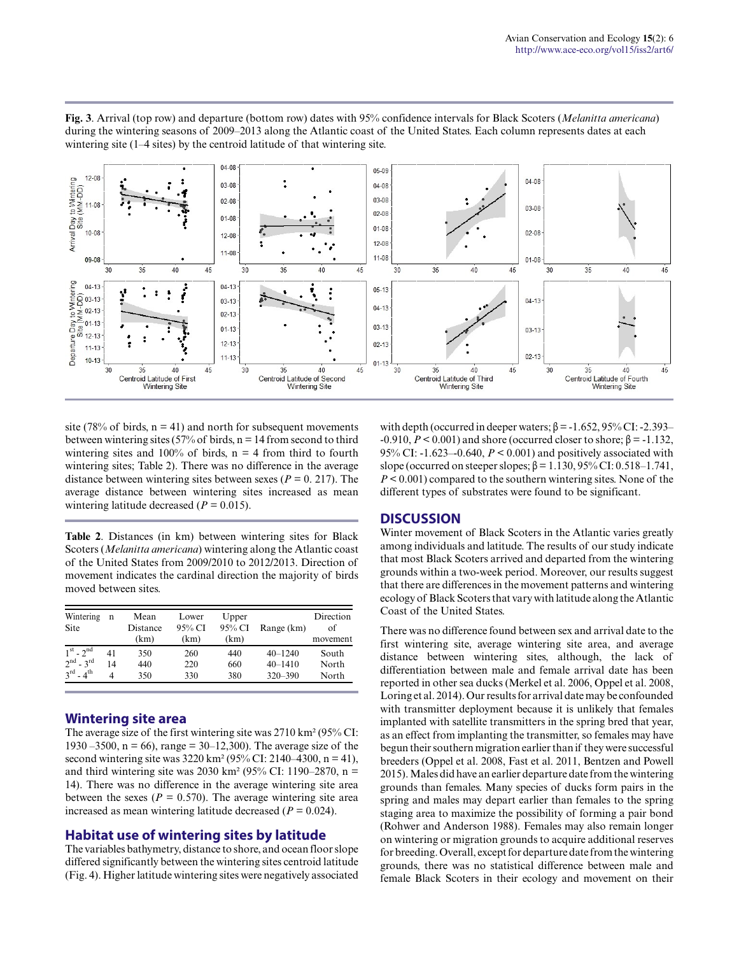**Fig. 3**. Arrival (top row) and departure (bottom row) dates with 95% confidence intervals for Black Scoters (*Melanitta americana*) during the wintering seasons of 2009–2013 along the Atlantic coast of the United States. Each column represents dates at each wintering site (1–4 sites) by the centroid latitude of that wintering site.



site (78% of birds,  $n = 41$ ) and north for subsequent movements between wintering sites (57% of birds,  $n = 14$  from second to third wintering sites and 100% of birds,  $n = 4$  from third to fourth wintering sites; Table 2). There was no difference in the average distance between wintering sites between sexes ( $P = 0.217$ ). The average distance between wintering sites increased as mean wintering latitude decreased ( $P = 0.015$ ).

**Table 2**. Distances (in km) between wintering sites for Black Scoters (*Melanitta americana*) wintering along the Atlantic coast of the United States from 2009/2010 to 2012/2013. Direction of movement indicates the cardinal direction the majority of birds moved between sites.

| Wintering<br>Site                 | $\mathbf n$ | Mean<br><b>Distance</b><br>(km) | Lower<br>95% CI<br>(km) | Upper<br>95% CI<br>(km) | Range (km)  | Direction<br>of<br>movement |
|-----------------------------------|-------------|---------------------------------|-------------------------|-------------------------|-------------|-----------------------------|
| $1^{\text{st}}$ - $2^{\text{nd}}$ | 41          | 350                             | 260                     | 440                     | $40 - 1240$ | South                       |
| $2^{nd}$ - $3^{rd}$               | 14          | 440                             | 220                     | 660                     | $40 - 1410$ | North                       |
| $3^{\text{rd}} - 4^{\text{th}}$   | 4           | 350                             | 330                     | 380                     | 320-390     | North                       |

## **Wintering site area**

The average size of the first wintering site was 2710 km² (95% CI: 1930 –3500, n = 66), range = 30–12,300). The average size of the second wintering site was 3220 km² (95% CI: 2140–4300, n = 41), and third wintering site was 2030 km<sup>2</sup> (95% CI: 1190–2870, n = 14). There was no difference in the average wintering site area between the sexes ( $P = 0.570$ ). The average wintering site area increased as mean wintering latitude decreased ( $P = 0.024$ ).

## **Habitat use of wintering sites by latitude**

The variables bathymetry, distance to shore, and ocean floor slope differed significantly between the wintering sites centroid latitude (Fig. 4). Higher latitude wintering sites were negatively associated with depth (occurred in deeper waters;  $\beta$  = -1.652, 95% CI: -2.393–  $-0.910$ ,  $P < 0.001$ ) and shore (occurred closer to shore; β = -1.132, 95% CI: -1.623–-0.640, *P* < 0.001) and positively associated with slope (occurred on steeper slopes;  $\beta$  = 1.130, 95% CI: 0.518–1.741, *P* < 0.001) compared to the southern wintering sites. None of the different types of substrates were found to be significant.

#### **DISCUSSION**

Winter movement of Black Scoters in the Atlantic varies greatly among individuals and latitude. The results of our study indicate that most Black Scoters arrived and departed from the wintering grounds within a two-week period. Moreover, our results suggest that there are differences in the movement patterns and wintering ecology of Black Scoters that vary with latitude along the Atlantic Coast of the United States.

There was no difference found between sex and arrival date to the first wintering site, average wintering site area, and average distance between wintering sites, although, the lack of differentiation between male and female arrival date has been reported in other sea ducks (Merkel et al. 2006, Oppel et al. 2008, Loring et al. 2014). Our results for arrival date may be confounded with transmitter deployment because it is unlikely that females implanted with satellite transmitters in the spring bred that year, as an effect from implanting the transmitter, so females may have begun their southern migration earlier than if they were successful breeders (Oppel et al. 2008, Fast et al. 2011, Bentzen and Powell 2015). Males did have an earlier departure date from the wintering grounds than females. Many species of ducks form pairs in the spring and males may depart earlier than females to the spring staging area to maximize the possibility of forming a pair bond (Rohwer and Anderson 1988). Females may also remain longer on wintering or migration grounds to acquire additional reserves for breeding. Overall, except for departure date from the wintering grounds, there was no statistical difference between male and female Black Scoters in their ecology and movement on their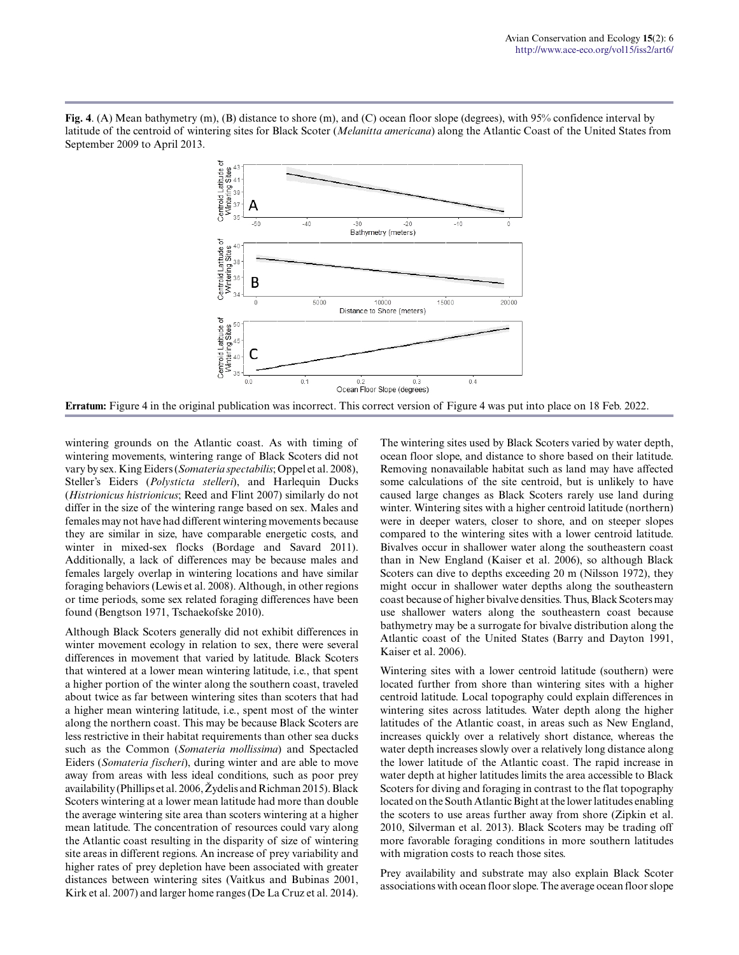**Fig. 4**. (A) Mean bathymetry (m), (B) distance to shore (m), and (C) ocean floor slope (degrees), with 95% confidence interval by latitude of the centroid of wintering sites for Black Scoter (*Melanitta americana*) along the Atlantic Coast of the United States from September 2009 to April 2013.



**Erratum:** Figure 4 in the original publication was incorrect. This correct version of Figure 4 was put into place on 18 Feb. 2022.

wintering grounds on the Atlantic coast. As with timing of wintering movements, wintering range of Black Scoters did not vary by sex. King Eiders (*Somateria spectabilis*; Oppel et al. 2008), Steller's Eiders (*Polysticta stelleri*), and Harlequin Ducks (*Histrionicus histrionicus*; Reed and Flint 2007) similarly do not differ in the size of the wintering range based on sex. Males and females may not have had different wintering movements because they are similar in size, have comparable energetic costs, and winter in mixed-sex flocks (Bordage and Savard 2011). Additionally, a lack of differences may be because males and females largely overlap in wintering locations and have similar foraging behaviors (Lewis et al. 2008). Although, in other regions or time periods, some sex related foraging differences have been found (Bengtson 1971, Tschaekofske 2010).

Although Black Scoters generally did not exhibit differences in winter movement ecology in relation to sex, there were several differences in movement that varied by latitude. Black Scoters that wintered at a lower mean wintering latitude, i.e., that spent a higher portion of the winter along the southern coast, traveled about twice as far between wintering sites than scoters that had a higher mean wintering latitude, i.e., spent most of the winter along the northern coast. This may be because Black Scoters are less restrictive in their habitat requirements than other sea ducks such as the Common (*Somateria mollissima*) and Spectacled Eiders (*Somateria fischeri*), during winter and are able to move away from areas with less ideal conditions, such as poor prey availability (Phillips et al. 2006, Žydelis and Richman 2015). Black Scoters wintering at a lower mean latitude had more than double the average wintering site area than scoters wintering at a higher mean latitude. The concentration of resources could vary along the Atlantic coast resulting in the disparity of size of wintering site areas in different regions. An increase of prey variability and higher rates of prey depletion have been associated with greater distances between wintering sites (Vaitkus and Bubinas 2001, Kirk et al. 2007) and larger home ranges (De La Cruz et al. 2014). The wintering sites used by Black Scoters varied by water depth, ocean floor slope, and distance to shore based on their latitude. Removing nonavailable habitat such as land may have affected some calculations of the site centroid, but is unlikely to have caused large changes as Black Scoters rarely use land during winter. Wintering sites with a higher centroid latitude (northern) were in deeper waters, closer to shore, and on steeper slopes compared to the wintering sites with a lower centroid latitude. Bivalves occur in shallower water along the southeastern coast than in New England (Kaiser et al. 2006), so although Black Scoters can dive to depths exceeding 20 m (Nilsson 1972), they might occur in shallower water depths along the southeastern coast because of higher bivalve densities. Thus, Black Scoters may use shallower waters along the southeastern coast because bathymetry may be a surrogate for bivalve distribution along the Atlantic coast of the United States (Barry and Dayton 1991, Kaiser et al. 2006).

Wintering sites with a lower centroid latitude (southern) were located further from shore than wintering sites with a higher centroid latitude. Local topography could explain differences in wintering sites across latitudes. Water depth along the higher latitudes of the Atlantic coast, in areas such as New England, increases quickly over a relatively short distance, whereas the water depth increases slowly over a relatively long distance along the lower latitude of the Atlantic coast. The rapid increase in water depth at higher latitudes limits the area accessible to Black Scoters for diving and foraging in contrast to the flat topography located on the South Atlantic Bight at the lower latitudes enabling the scoters to use areas further away from shore (Zipkin et al. 2010, Silverman et al. 2013). Black Scoters may be trading off more favorable foraging conditions in more southern latitudes with migration costs to reach those sites.

Prey availability and substrate may also explain Black Scoter associations with ocean floor slope. The average ocean floor slope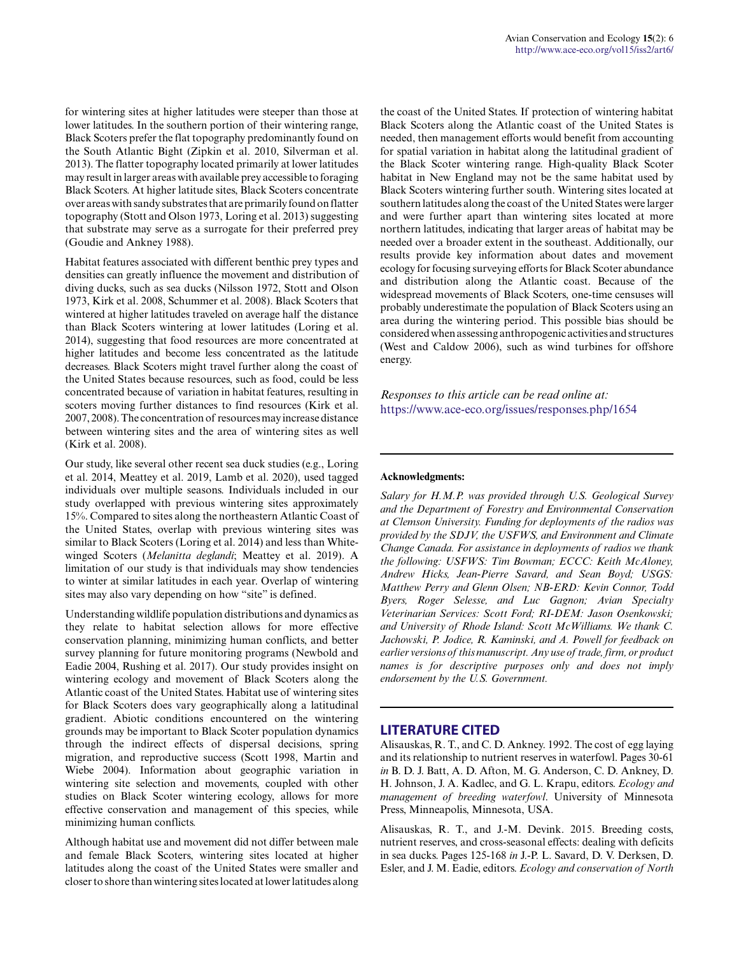for wintering sites at higher latitudes were steeper than those at lower latitudes. In the southern portion of their wintering range, Black Scoters prefer the flat topography predominantly found on the South Atlantic Bight (Zipkin et al. 2010, Silverman et al. 2013). The flatter topography located primarily at lower latitudes may result in larger areas with available prey accessible to foraging Black Scoters. At higher latitude sites, Black Scoters concentrate over areas with sandy substrates that are primarily found on flatter topography (Stott and Olson 1973, Loring et al. 2013) suggesting that substrate may serve as a surrogate for their preferred prey (Goudie and Ankney 1988).

Habitat features associated with different benthic prey types and densities can greatly influence the movement and distribution of diving ducks, such as sea ducks (Nilsson 1972, Stott and Olson 1973, Kirk et al. 2008, Schummer et al. 2008). Black Scoters that wintered at higher latitudes traveled on average half the distance than Black Scoters wintering at lower latitudes (Loring et al. 2014), suggesting that food resources are more concentrated at higher latitudes and become less concentrated as the latitude decreases. Black Scoters might travel further along the coast of the United States because resources, such as food, could be less concentrated because of variation in habitat features, resulting in scoters moving further distances to find resources (Kirk et al. 2007, 2008). The concentration of resources may increase distance between wintering sites and the area of wintering sites as well (Kirk et al. 2008).

Our study, like several other recent sea duck studies (e.g., Loring et al. 2014, Meattey et al. 2019, Lamb et al. 2020), used tagged individuals over multiple seasons. Individuals included in our study overlapped with previous wintering sites approximately 15%. Compared to sites along the northeastern Atlantic Coast of the United States, overlap with previous wintering sites was similar to Black Scoters (Loring et al. 2014) and less than Whitewinged Scoters (*Melanitta deglandi*; Meattey et al. 2019). A limitation of our study is that individuals may show tendencies to winter at similar latitudes in each year. Overlap of wintering sites may also vary depending on how "site" is defined.

Understanding wildlife population distributions and dynamics as they relate to habitat selection allows for more effective conservation planning, minimizing human conflicts, and better survey planning for future monitoring programs (Newbold and Eadie 2004, Rushing et al. 2017). Our study provides insight on wintering ecology and movement of Black Scoters along the Atlantic coast of the United States. Habitat use of wintering sites for Black Scoters does vary geographically along a latitudinal gradient. Abiotic conditions encountered on the wintering grounds may be important to Black Scoter population dynamics through the indirect effects of dispersal decisions, spring migration, and reproductive success (Scott 1998, Martin and Wiebe 2004). Information about geographic variation in wintering site selection and movements, coupled with other studies on Black Scoter wintering ecology, allows for more effective conservation and management of this species, while minimizing human conflicts.

Although habitat use and movement did not differ between male and female Black Scoters, wintering sites located at higher latitudes along the coast of the United States were smaller and closer to shore than wintering sites located at lower latitudes along the coast of the United States. If protection of wintering habitat Black Scoters along the Atlantic coast of the United States is needed, then management efforts would benefit from accounting for spatial variation in habitat along the latitudinal gradient of the Black Scoter wintering range. High-quality Black Scoter habitat in New England may not be the same habitat used by Black Scoters wintering further south. Wintering sites located at southern latitudes along the coast of the United States were larger and were further apart than wintering sites located at more northern latitudes, indicating that larger areas of habitat may be needed over a broader extent in the southeast. Additionally, our results provide key information about dates and movement ecology for focusing surveying efforts for Black Scoter abundance and distribution along the Atlantic coast. Because of the widespread movements of Black Scoters, one-time censuses will probably underestimate the population of Black Scoters using an area during the wintering period. This possible bias should be considered when assessing anthropogenic activities and structures (West and Caldow 2006), such as wind turbines for offshore energy.

*Responses to this article can be read online at:* <https://www.ace-eco.org/issues/responses.php/1654>

#### **Acknowledgments:**

*Salary for H.M.P. was provided through U.S. Geological Survey and the Department of Forestry and Environmental Conservation at Clemson University. Funding for deployments of the radios was provided by the SDJV, the USFWS, and Environment and Climate Change Canada. For assistance in deployments of radios we thank the following: USFWS: Tim Bowman; ECCC: Keith McAloney, Andrew Hicks, Jean-Pierre Savard, and Sean Boyd; USGS: Matthew Perry and Glenn Olsen; NB-ERD: Kevin Connor, Todd Byers, Roger Selesse, and Luc Gagnon; Avian Specialty Veterinarian Services: Scott Ford; RI-DEM: Jason Osenkowski; and University of Rhode Island: Scott McWilliams. We thank C. Jachowski, P. Jodice, R. Kaminski, and A. Powell for feedback on earlier versions of this manuscript. Any use of trade, firm, or product names is for descriptive purposes only and does not imply endorsement by the U.S. Government.*

#### **LITERATURE CITED**

Alisauskas, R. T., and C. D. Ankney. 1992. The cost of egg laying and its relationship to nutrient reserves in waterfowl. Pages 30-61 *in* B. D. J. Batt, A. D. Afton, M. G. Anderson, C. D. Ankney, D. H. Johnson, J. A. Kadlec, and G. L. Krapu, editors. *Ecology and management of breeding waterfowl*. University of Minnesota Press, Minneapolis, Minnesota, USA.

Alisauskas, R. T., and J.-M. Devink. 2015. Breeding costs, nutrient reserves, and cross-seasonal effects: dealing with deficits in sea ducks. Pages 125-168 *in* J.-P. L. Savard, D. V. Derksen, D. Esler, and J. M. Eadie, editors. *Ecology and conservation of North*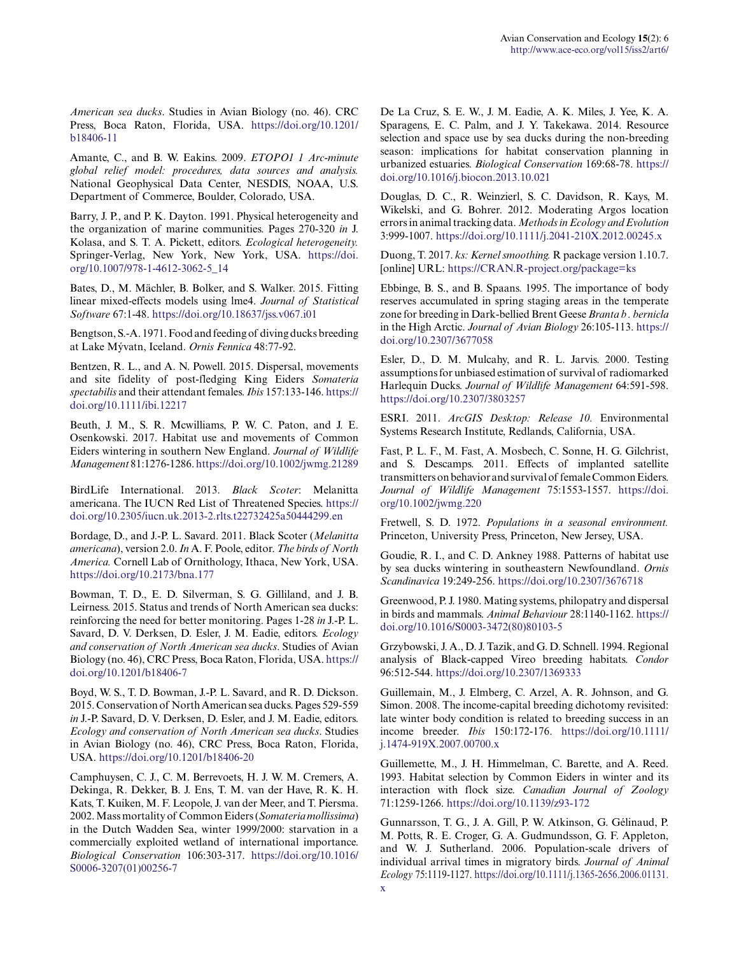*American sea ducks*. Studies in Avian Biology (no. 46). CRC Press, Boca Raton, Florida, USA. [https://doi.org/10.1201/](https://doi.org/10.1201/b18406-11) [b18406-11](https://doi.org/10.1201/b18406-11)

Amante, C., and B. W. Eakins. 2009. *ETOPO1 1 Arc-minute global relief model: procedures, data sources and analysis.* National Geophysical Data Center, NESDIS, NOAA, U.S. Department of Commerce, Boulder, Colorado, USA.

Barry, J. P., and P. K. Dayton. 1991. Physical heterogeneity and the organization of marine communities. Pages 270-320 *in* J. Kolasa, and S. T. A. Pickett, editors. *Ecological heterogeneity.* Springer-Verlag, New York, New York, USA. [https://doi.](https://doi.org/10.1007/978-1-4612-3062-5_14) [org/10.1007/978-1-4612-3062-5\\_14](https://doi.org/10.1007/978-1-4612-3062-5_14)

Bates, D., M. Mächler, B. Bolker, and S. Walker. 2015. Fitting linear mixed-effects models using lme4. *Journal of Statistical Software* 67:1-48.<https://doi.org/10.18637/jss.v067.i01>

Bengtson, S.-A. 1971. Food and feeding of diving ducks breeding at Lake Mývatn, Iceland. *Ornis Fennica* 48:77-92.

Bentzen, R. L., and A. N. Powell. 2015. Dispersal, movements and site fidelity of post-fledging King Eiders *Somateria spectabilis* and their attendant females. *Ibis* 157:133-146. [https://](https://doi.org/10.1111/ibi.12217) [doi.org/10.1111/ibi.12217](https://doi.org/10.1111/ibi.12217) 

Beuth, J. M., S. R. Mcwilliams, P. W. C. Paton, and J. E. Osenkowski. 2017. Habitat use and movements of Common Eiders wintering in southern New England. *Journal of Wildlife Management* 81:1276-1286.<https://doi.org/10.1002/jwmg.21289>

BirdLife International. 2013. *Black Scoter*: Melanitta americana. The IUCN Red List of Threatened Species. [https://](https://doi.org/10.2305/iucn.uk.2013-2.rlts.t22732425a50444299.en) [doi.org/10.2305/iucn.uk.2013-2.rlts.t22732425a50444299.en](https://doi.org/10.2305/iucn.uk.2013-2.rlts.t22732425a50444299.en)

Bordage, D., and J.-P. L. Savard. 2011. Black Scoter (*Melanitta americana*), version 2.0. *In* A. F. Poole, editor. *The birds of North America.* Cornell Lab of Ornithology, Ithaca, New York, USA. <https://doi.org/10.2173/bna.177>

Bowman, T. D., E. D. Silverman, S. G. Gilliland, and J. B. Leirness. 2015. Status and trends of North American sea ducks: reinforcing the need for better monitoring. Pages 1-28 *in* J.-P. L. Savard, D. V. Derksen, D. Esler, J. M. Eadie, editors. *Ecology and conservation of North American sea ducks*. Studies of Avian Biology (no. 46), CRC Press, Boca Raton, Florida, USA. [https://](https://doi.org/10.1201/b18406-7) [doi.org/10.1201/b18406-7](https://doi.org/10.1201/b18406-7) 

Boyd, W. S., T. D. Bowman, J.-P. L. Savard, and R. D. Dickson. 2015. Conservation of North American sea ducks. Pages 529-559 *in* J.-P. Savard, D. V. Derksen, D. Esler, and J. M. Eadie, editors. *Ecology and conservation of North American sea ducks*. Studies in Avian Biology (no. 46), CRC Press, Boca Raton, Florida, USA.<https://doi.org/10.1201/b18406-20>

Camphuysen, C. J., C. M. Berrevoets, H. J. W. M. Cremers, A. Dekinga, R. Dekker, B. J. Ens, T. M. van der Have, R. K. H. Kats, T. Kuiken, M. F. Leopole, J. van der Meer, and T. Piersma. 2002. Mass mortality of Common Eiders (*Somateria mollissima*) in the Dutch Wadden Sea, winter 1999/2000: starvation in a commercially exploited wetland of international importance. *Biological Conservation* 106:303-317. [https://doi.org/10.1016/](https://doi.org/10.1016/S0006-3207(01)00256-7) [S0006-3207\(01\)00256-7](https://doi.org/10.1016/S0006-3207(01)00256-7) 

De La Cruz, S. E. W., J. M. Eadie, A. K. Miles, J. Yee, K. A. Sparagens, E. C. Palm, and J. Y. Takekawa. 2014. Resource selection and space use by sea ducks during the non-breeding season: implications for habitat conservation planning in urbanized estuaries. *Biological Conservation* 169:68-78. [https://](https://doi.org/10.1016/j.biocon.2013.10.021) [doi.org/10.1016/j.biocon.2013.10.021](https://doi.org/10.1016/j.biocon.2013.10.021) 

Douglas, D. C., R. Weinzierl, S. C. Davidson, R. Kays, M. Wikelski, and G. Bohrer. 2012. Moderating Argos location errors in animal tracking data. *Methods in Ecology and Evolution* 3:999-1007.<https://doi.org/10.1111/j.2041-210X.2012.00245.x>

Duong, T. 2017. *ks: Kernel smoothing.* R package version 1.10.7. [online] URL: <https://CRAN.R-project.org/package=ks>

Ebbinge, B. S., and B. Spaans. 1995. The importance of body reserves accumulated in spring staging areas in the temperate zone for breeding in Dark-bellied Brent Geese *Branta b . bernicla* in the High Arctic. *Journal of Avian Biology* 26:105-113. [https://](https://doi.org/10.2307/3677058) [doi.org/10.2307/3677058](https://doi.org/10.2307/3677058) 

Esler, D., D. M. Mulcahy, and R. L. Jarvis. 2000. Testing assumptions for unbiased estimation of survival of radiomarked Harlequin Ducks. *Journal of Wildlife Management* 64:591-598. <https://doi.org/10.2307/3803257>

ESRI. 2011. *ArcGIS Desktop: Release 10.* Environmental Systems Research Institute, Redlands, California, USA.

Fast, P. L. F., M. Fast, A. Mosbech, C. Sonne, H. G. Gilchrist, and S. Descamps. 2011. Effects of implanted satellite transmitters on behavior and survival of female Common Eiders. *Journal of Wildlife Management* 75:1553-1557. [https://doi.](https://doi.org/10.1002/jwmg.220) [org/10.1002/jwmg.220](https://doi.org/10.1002/jwmg.220) 

Fretwell, S. D. 1972. *Populations in a seasonal environment.* Princeton, University Press, Princeton, New Jersey, USA.

Goudie, R. I., and C. D. Ankney 1988. Patterns of habitat use by sea ducks wintering in southeastern Newfoundland. *Ornis Scandinavica* 19:249-256. <https://doi.org/10.2307/3676718>

Greenwood, P. J. 1980. Mating systems, philopatry and dispersal in birds and mammals. *Animal Behaviour* 28:1140-1162. [https://](https://doi.org/10.1016/S0003-3472(80)80103-5) [doi.org/10.1016/S0003-3472\(80\)80103-5](https://doi.org/10.1016/S0003-3472(80)80103-5) 

Grzybowski, J. A., D. J. Tazik, and G. D. Schnell. 1994. Regional analysis of Black-capped Vireo breeding habitats. *Condor* 96:512-544.<https://doi.org/10.2307/1369333>

Guillemain, M., J. Elmberg, C. Arzel, A. R. Johnson, and G. Simon. 2008. The income-capital breeding dichotomy revisited: late winter body condition is related to breeding success in an income breeder. *Ibis* 150:172-176. [https://doi.org/10.1111/](https://doi.org/10.1111/j.1474-919X.2007.00700.x) [j.1474-919X.2007.00700.x](https://doi.org/10.1111/j.1474-919X.2007.00700.x) 

Guillemette, M., J. H. Himmelman, C. Barette, and A. Reed. 1993. Habitat selection by Common Eiders in winter and its interaction with flock size. *Canadian Journal of Zoology* 71:1259-1266.<https://doi.org/10.1139/z93-172>

Gunnarsson, T. G., J. A. Gill, P. W. Atkinson, G. Gélinaud, P. M. Potts, R. E. Croger, G. A. Gudmundsson, G. F. Appleton, and W. J. Sutherland. 2006. Population-scale drivers of individual arrival times in migratory birds. *Journal of Animal Ecology* 75:1119-1127. [https://doi.org/10.1111/j.1365-2656.2006.01131.](https://doi.org/10.1111/j.1365-2656.2006.01131.x)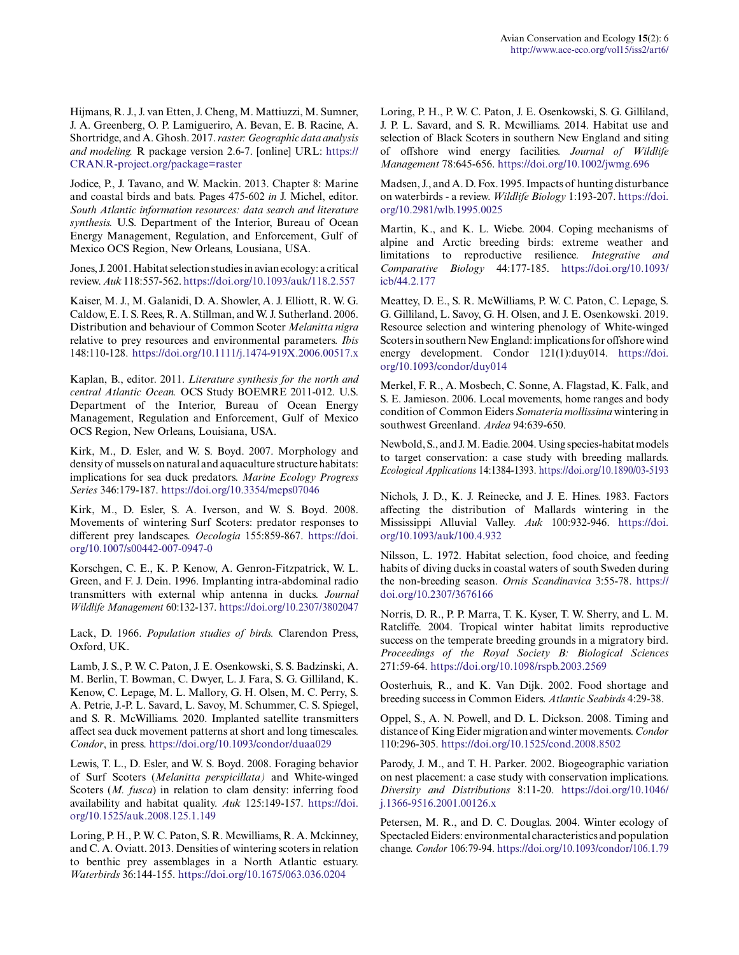Hijmans, R. J., J. van Etten, J. Cheng, M. Mattiuzzi, M. Sumner, J. A. Greenberg, O. P. Lamigueriro, A. Bevan, E. B. Racine, A. Shortridge, and A. Ghosh. 2017. *raster: Geographic data analysis and modeling.* R package version 2.6-7. [online] URL: [https://](https://CRAN.R-project.org/package=raster) [CRAN.R-project.org/package=raster](https://CRAN.R-project.org/package=raster) 

Jodice, P., J. Tavano, and W. Mackin. 2013. Chapter 8: Marine and coastal birds and bats. Pages 475-602 *in* J. Michel, editor. *South Atlantic information resources: data search and literature synthesis.* U.S. Department of the Interior, Bureau of Ocean Energy Management, Regulation, and Enforcement, Gulf of Mexico OCS Region, New Orleans, Lousiana, USA.

Jones, J. 2001. Habitat selection studies in avian ecology: a critical review. *Auk* 118:557-562.<https://doi.org/10.1093/auk/118.2.557>

Kaiser, M. J., M. Galanidi, D. A. Showler, A. J. Elliott, R. W. G. Caldow, E. I. S. Rees, R. A. Stillman, and W. J. Sutherland. 2006. Distribution and behaviour of Common Scoter *Melanitta nigra* relative to prey resources and environmental parameters. *Ibis* 148:110-128. <https://doi.org/10.1111/j.1474-919X.2006.00517.x>

Kaplan, B., editor. 2011. *Literature synthesis for the north and central Atlantic Ocean.* OCS Study BOEMRE 2011-012. U.S. Department of the Interior, Bureau of Ocean Energy Management, Regulation and Enforcement, Gulf of Mexico OCS Region, New Orleans, Louisiana, USA.

Kirk, M., D. Esler, and W. S. Boyd. 2007. Morphology and density of mussels on natural and aquaculture structure habitats: implications for sea duck predators. *Marine Ecology Progress Series* 346:179-187. <https://doi.org/10.3354/meps07046>

Kirk, M., D. Esler, S. A. Iverson, and W. S. Boyd. 2008. Movements of wintering Surf Scoters: predator responses to different prey landscapes. *Oecologia* 155:859-867. [https://doi.](https://doi.org/10.1007/s00442-007-0947-0) [org/10.1007/s00442-007-0947-0](https://doi.org/10.1007/s00442-007-0947-0)

Korschgen, C. E., K. P. Kenow, A. Genron-Fitzpatrick, W. L. Green, and F. J. Dein. 1996. Implanting intra-abdominal radio transmitters with external whip antenna in ducks. *Journal Wildlife Management* 60:132-137. <https://doi.org/10.2307/3802047>

Lack, D. 1966. *Population studies of birds.* Clarendon Press, Oxford, UK.

Lamb, J. S., P. W. C. Paton, J. E. Osenkowski, S. S. Badzinski, A. M. Berlin, T. Bowman, C. Dwyer, L. J. Fara, S. G. Gilliland, K. Kenow, C. Lepage, M. L. Mallory, G. H. Olsen, M. C. Perry, S. A. Petrie, J.-P. L. Savard, L. Savoy, M. Schummer, C. S. Spiegel, and S. R. McWilliams. 2020. Implanted satellite transmitters affect sea duck movement patterns at short and long timescales. *Condor*, in press. <https://doi.org/10.1093/condor/duaa029>

Lewis, T. L., D. Esler, and W. S. Boyd. 2008. Foraging behavior of Surf Scoters (*Melanitta perspicillata)* and White-winged Scoters (*M. fusca*) in relation to clam density: inferring food availability and habitat quality. *Auk* 125:149-157. [https://doi.](https://doi.org/10.1525/auk.2008.125.1.149) [org/10.1525/auk.2008.125.1.149](https://doi.org/10.1525/auk.2008.125.1.149) 

Loring, P. H., P. W. C. Paton, S. R. Mcwilliams, R. A. Mckinney, and C. A. Oviatt. 2013. Densities of wintering scoters in relation to benthic prey assemblages in a North Atlantic estuary. *Waterbirds* 36:144-155. <https://doi.org/10.1675/063.036.0204>

Loring, P. H., P. W. C. Paton, J. E. Osenkowski, S. G. Gilliland, J. P. L. Savard, and S. R. Mcwilliams. 2014. Habitat use and selection of Black Scoters in southern New England and siting of offshore wind energy facilities. *Journal of Wildlife Management* 78:645-656.<https://doi.org/10.1002/jwmg.696>

Madsen, J., and A. D. Fox. 1995. Impacts of hunting disturbance on waterbirds - a review. *Wildlife Biology* 1:193-207. [https://doi.](https://doi.org/10.2981/wlb.1995.0025) [org/10.2981/wlb.1995.0025](https://doi.org/10.2981/wlb.1995.0025)

Martin, K., and K. L. Wiebe. 2004. Coping mechanisms of alpine and Arctic breeding birds: extreme weather and limitations to reproductive resilience. *Integrative and Comparative Biology* 44:177-185. [https://doi.org/10.1093/](https://doi.org/10.1093/icb/44.2.177) [icb/44.2.177](https://doi.org/10.1093/icb/44.2.177) 

Meattey, D. E., S. R. McWilliams, P. W. C. Paton, C. Lepage, S. G. Gilliland, L. Savoy, G. H. Olsen, and J. E. Osenkowski. 2019. Resource selection and wintering phenology of White-winged Scoters in southern New England: implications for offshore wind energy development. Condor 121(1):duy014. [https://doi.](https://doi.org/10.1093/condor/duy014) [org/10.1093/condor/duy014](https://doi.org/10.1093/condor/duy014) 

Merkel, F. R., A. Mosbech, C. Sonne, A. Flagstad, K. Falk, and S. E. Jamieson. 2006. Local movements, home ranges and body condition of Common Eiders *Somateria mollissima* wintering in southwest Greenland. *Ardea* 94:639-650.

Newbold, S., and J. M. Eadie. 2004. Using species-habitat models to target conservation: a case study with breeding mallards. *Ecological Applications* 14:1384-1393.<https://doi.org/10.1890/03-5193>

Nichols, J. D., K. J. Reinecke, and J. E. Hines. 1983. Factors affecting the distribution of Mallards wintering in the Mississippi Alluvial Valley. *Auk* 100:932-946. [https://doi.](https://doi.org/10.1093/auk/100.4.932) [org/10.1093/auk/100.4.932](https://doi.org/10.1093/auk/100.4.932) 

Nilsson, L. 1972. Habitat selection, food choice, and feeding habits of diving ducks in coastal waters of south Sweden during the non-breeding season. *Ornis Scandinavica* 3:55-78. [https://](https://doi.org/10.2307/3676166) [doi.org/10.2307/3676166](https://doi.org/10.2307/3676166) 

Norris, D. R., P. P. Marra, T. K. Kyser, T. W. Sherry, and L. M. Ratcliffe. 2004. Tropical winter habitat limits reproductive success on the temperate breeding grounds in a migratory bird. *Proceedings of the Royal Society B: Biological Sciences* 271:59-64. <https://doi.org/10.1098/rspb.2003.2569>

Oosterhuis, R., and K. Van Dijk. 2002. Food shortage and breeding success in Common Eiders. *Atlantic Seabirds* 4:29-38.

Oppel, S., A. N. Powell, and D. L. Dickson. 2008. Timing and distance of King Eider migration and winter movements. *Condor* 110:296-305. <https://doi.org/10.1525/cond.2008.8502>

Parody, J. M., and T. H. Parker. 2002. Biogeographic variation on nest placement: a case study with conservation implications. *Diversity and Distributions* 8:11-20. [https://doi.org/10.1046/](https://doi.org/10.1046/j.1366-9516.2001.00126.x) [j.1366-9516.2001.00126.x](https://doi.org/10.1046/j.1366-9516.2001.00126.x)

Petersen, M. R., and D. C. Douglas. 2004. Winter ecology of Spectacled Eiders: environmental characteristics and population change. *Condor* 106:79-94. <https://doi.org/10.1093/condor/106.1.79>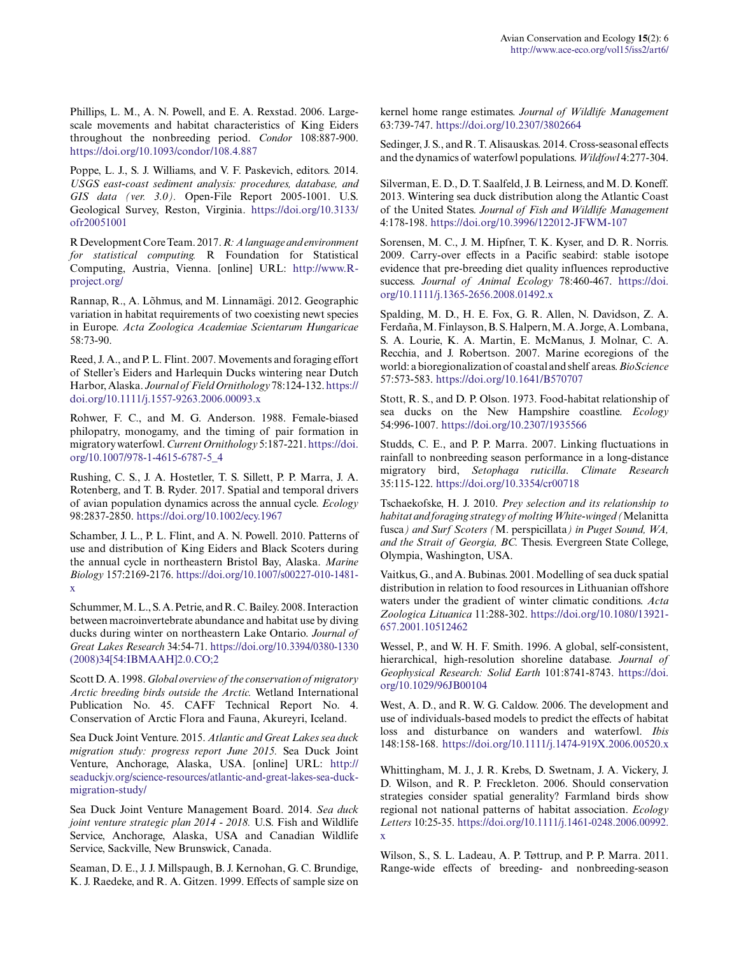Phillips, L. M., A. N. Powell, and E. A. Rexstad. 2006. Largescale movements and habitat characteristics of King Eiders throughout the nonbreeding period. *Condor* 108:887-900. <https://doi.org/10.1093/condor/108.4.887>

Poppe, L. J., S. J. Williams, and V. F. Paskevich, editors. 2014. *USGS east-coast sediment analysis: procedures, database, and GIS data (ver. 3.0).* Open-File Report 2005-1001. U.S. Geological Survey, Reston, Virginia. [https://doi.org/10.3133/](https://doi.org/10.3133/ofr20051001) [ofr20051001](https://doi.org/10.3133/ofr20051001)

R Development Core Team. 2017. *R: A language and environment for statistical computing.* R Foundation for Statistical Computing, Austria, Vienna. [online] URL: [http://www.R](http://www.R-project.org/)[project.org/](http://www.R-project.org/)

Rannap, R., A. Lõhmus, and M. Linnamägi. 2012. Geographic variation in habitat requirements of two coexisting newt species in Europe. *Acta Zoologica Academiae Scientarum Hungaricae* 58:73-90.

Reed, J. A., and P. L. Flint. 2007. Movements and foraging effort of Steller's Eiders and Harlequin Ducks wintering near Dutch Harbor, Alaska. *Journal of Field Ornithology* 78:124-132. [https://](https://doi.org/10.1111/j.1557-9263.2006.00093.x) [doi.org/10.1111/j.1557-9263.2006.00093.x](https://doi.org/10.1111/j.1557-9263.2006.00093.x)

Rohwer, F. C., and M. G. Anderson. 1988. Female-biased philopatry, monogamy, and the timing of pair formation in migratory waterfowl. *Current Ornithology* 5:187-221. [https://doi.](https://doi.org/10.1007/978-1-4615-6787-5_4) [org/10.1007/978-1-4615-6787-5\\_4](https://doi.org/10.1007/978-1-4615-6787-5_4) 

Rushing, C. S., J. A. Hostetler, T. S. Sillett, P. P. Marra, J. A. Rotenberg, and T. B. Ryder. 2017. Spatial and temporal drivers of avian population dynamics across the annual cycle. *Ecology* 98:2837-2850.<https://doi.org/10.1002/ecy.1967>

Schamber, J. L., P. L. Flint, and A. N. Powell. 2010. Patterns of use and distribution of King Eiders and Black Scoters during the annual cycle in northeastern Bristol Bay, Alaska. *Marine Biology* 157:2169-2176. [https://doi.org/10.1007/s00227-010-1481](https://doi.org/10.1007/s00227-010-1481-x) [x](https://doi.org/10.1007/s00227-010-1481-x)

Schummer, M. L., S. A. Petrie, and R. C. Bailey. 2008. Interaction between macroinvertebrate abundance and habitat use by diving ducks during winter on northeastern Lake Ontario. *Journal of Great Lakes Research* 34:54-71. [https://doi.org/10.3394/0380-1330](https://doi.org/10.3394/0380-1330(2008)34[54:IBMAAH]2.0.CO;2) [\(2008\)34\[54:IBMAAH\]2.0.CO;2](https://doi.org/10.3394/0380-1330(2008)34[54:IBMAAH]2.0.CO;2)

Scott D. A. 1998. *Global overview of the conservation of migratory Arctic breeding birds outside the Arctic.* Wetland International Publication No. 45. CAFF Technical Report No. 4. Conservation of Arctic Flora and Fauna, Akureyri, Iceland.

Sea Duck Joint Venture. 2015. *Atlantic and Great Lakes sea duck migration study: progress report June 2015.* Sea Duck Joint Venture, Anchorage, Alaska, USA. [online] URL: [http://](http://seaduckjv.org/science-resources/atlantic-and-great-lakes-sea-duck-migration-study/) [seaduckjv.org/science-resources/atlantic-and-great-lakes-sea-duck](http://seaduckjv.org/science-resources/atlantic-and-great-lakes-sea-duck-migration-study/)[migration-study/](http://seaduckjv.org/science-resources/atlantic-and-great-lakes-sea-duck-migration-study/) 

Sea Duck Joint Venture Management Board. 2014. *Sea duck joint venture strategic plan 2014 - 2018.* U.S. Fish and Wildlife Service, Anchorage, Alaska, USA and Canadian Wildlife Service, Sackville, New Brunswick, Canada.

Seaman, D. E., J. J. Millspaugh, B. J. Kernohan, G. C. Brundige, K. J. Raedeke, and R. A. Gitzen. 1999. Effects of sample size on kernel home range estimates. *Journal of Wildlife Management* 63:739-747.<https://doi.org/10.2307/3802664>

Sedinger, J. S., and R. T. Alisauskas. 2014. Cross-seasonal effects and the dynamics of waterfowl populations. *Wildfowl* 4:277-304.

Silverman, E. D., D. T. Saalfeld, J. B. Leirness, and M. D. Koneff. 2013. Wintering sea duck distribution along the Atlantic Coast of the United States. *Journal of Fish and Wildlife Management* 4:178-198. <https://doi.org/10.3996/122012-JFWM-107>

Sorensen, M. C., J. M. Hipfner, T. K. Kyser, and D. R. Norris. 2009. Carry-over effects in a Pacific seabird: stable isotope evidence that pre-breeding diet quality influences reproductive success. *Journal of Animal Ecology* 78:460-467. [https://doi.](https://doi.org/10.1111/j.1365-2656.2008.01492.x) [org/10.1111/j.1365-2656.2008.01492.x](https://doi.org/10.1111/j.1365-2656.2008.01492.x)

Spalding, M. D., H. E. Fox, G. R. Allen, N. Davidson, Z. A. Ferdaña, M. Finlayson, B. S. Halpern, M. A. Jorge, A. Lombana, S. A. Lourie, K. A. Martin, E. McManus, J. Molnar, C. A. Recchia, and J. Robertson. 2007. Marine ecoregions of the world: a bioregionalization of coastal and shelf areas. *BioScience* 57:573-583.<https://doi.org/10.1641/B570707>

Stott, R. S., and D. P. Olson. 1973. Food-habitat relationship of sea ducks on the New Hampshire coastline. *Ecology* 54:996-1007. <https://doi.org/10.2307/1935566>

Studds, C. E., and P. P. Marra. 2007. Linking fluctuations in rainfall to nonbreeding season performance in a long-distance migratory bird, *Setophaga ruticilla*. *Climate Research* 35:115-122.<https://doi.org/10.3354/cr00718>

Tschaekofske, H. J. 2010. *Prey selection and its relationship to habitat and foraging strategy of molting White-winged (*Melanitta fusca*) and Surf Scoters (*M. perspicillata*) in Puget Sound, WA, and the Strait of Georgia, BC.* Thesis. Evergreen State College, Olympia, Washington, USA.

Vaitkus, G., and A. Bubinas. 2001. Modelling of sea duck spatial distribution in relation to food resources in Lithuanian offshore waters under the gradient of winter climatic conditions. *Acta Zoologica Lituanica* 11:288-302. [https://doi.org/10.1080/13921](https://doi.org/10.1080/13921657.2001.10512462) [657.2001.10512462](https://doi.org/10.1080/13921657.2001.10512462)

Wessel, P., and W. H. F. Smith. 1996. A global, self-consistent, hierarchical, high-resolution shoreline database. *Journal of Geophysical Research: Solid Earth* 101:8741-8743. [https://doi.](https://doi.org/10.1029/96JB00104) [org/10.1029/96JB00104](https://doi.org/10.1029/96JB00104) 

West, A. D., and R. W. G. Caldow. 2006. The development and use of individuals-based models to predict the effects of habitat loss and disturbance on wanders and waterfowl. *Ibis* 148:158-168. <https://doi.org/10.1111/j.1474-919X.2006.00520.x>

Whittingham, M. J., J. R. Krebs, D. Swetnam, J. A. Vickery, J. D. Wilson, and R. P. Freckleton. 2006. Should conservation strategies consider spatial generality? Farmland birds show regional not national patterns of habitat association. *Ecology Letters* 10:25-35. [https://doi.org/10.1111/j.1461-0248.2006.00992.](https://doi.org/10.1111/j.1461-0248.2006.00992.x) [x](https://doi.org/10.1111/j.1461-0248.2006.00992.x) 

Wilson, S., S. L. Ladeau, A. P. Tøttrup, and P. P. Marra. 2011. Range-wide effects of breeding- and nonbreeding-season